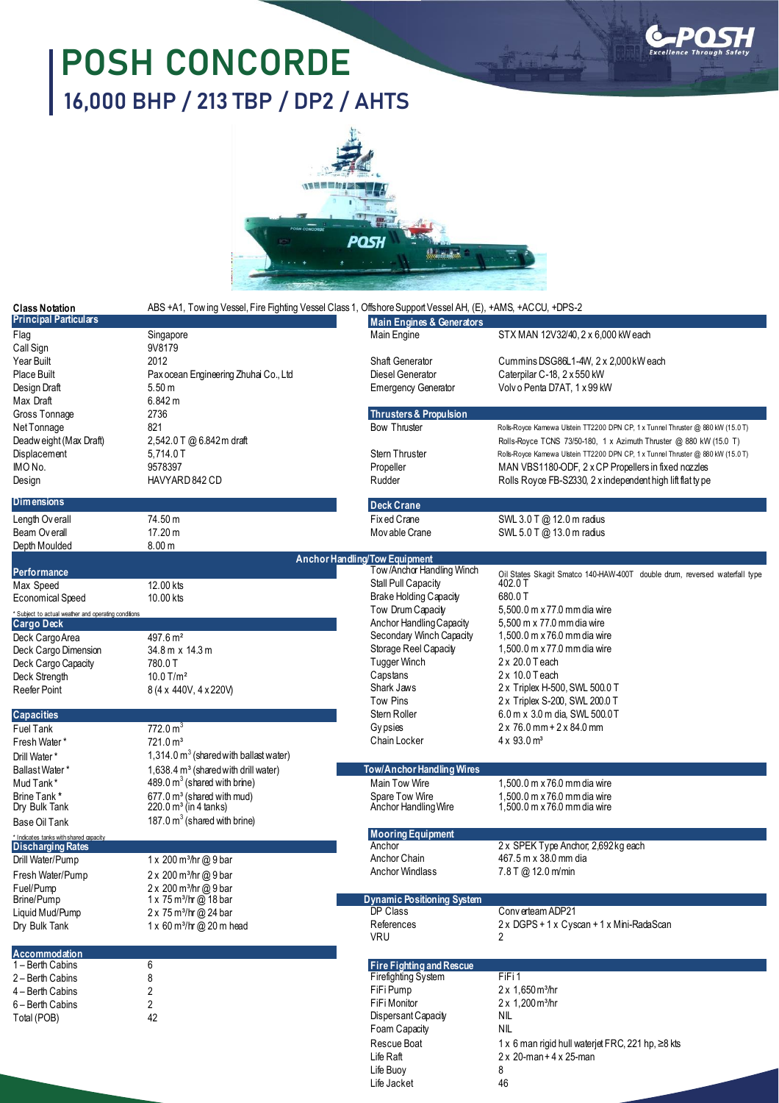## **POSH CONCORDE 16,000 BHP / 213 TBP / DP2 / AHTS**





| <b>Class Notation</b><br><b>Principal Particulars</b> | ABS +A1, Tow ing Vessel, Fire Fighting Vessel Class 1, Offshore Support Vessel AH, (E), +AMS, +ACCU, +DPS-2<br><b>Main Engines &amp; Generators</b> |                                                          |                                                                                                                                                       |
|-------------------------------------------------------|-----------------------------------------------------------------------------------------------------------------------------------------------------|----------------------------------------------------------|-------------------------------------------------------------------------------------------------------------------------------------------------------|
| Flag<br>Call Sign                                     | Singapore<br>9V8179                                                                                                                                 | Main Engine                                              | STX MAN 12V32/40, 2 x 6,000 kW each                                                                                                                   |
| Year Built                                            | 2012                                                                                                                                                | Shaft Generator                                          | Cummins DSG86L1-4W, 2 x 2,000 kW each                                                                                                                 |
| Place Built                                           | Pax ocean Engineering Zhuhai Co., Ltd                                                                                                               | Diesel Generator                                         | Caterpilar C-18, 2 x 550 kW                                                                                                                           |
| Design Draft                                          | 5.50 m                                                                                                                                              | <b>Emergency Generator</b>                               | Volv o Penta D7AT, 1 x 99 kW                                                                                                                          |
| Max Draft                                             | 6.842 m                                                                                                                                             |                                                          |                                                                                                                                                       |
| Gross Tonnage                                         | 2736<br>821                                                                                                                                         | <b>Thrusters &amp; Propulsion</b><br><b>Bow Thruster</b> |                                                                                                                                                       |
| Net Tonnage<br>Deadweight (Max Draft)                 | 2,542.0 T @ 6.842 m draft                                                                                                                           |                                                          | Rolls-Royce Kamewa Ulstein TT2200 DPN CP, 1 x Tunnel Thruster @ 880 kW (15.0 T)<br>Rolls-Royce TCNS 73/50-180, 1 x Azimuth Thruster @ 880 kW (15.0 T) |
| Displacement                                          | 5,714.0 T                                                                                                                                           | <b>Stern Thruster</b>                                    | Rolls-Royce Kamewa Ulstein TT2200 DPN CP, 1 x Tunnel Thruster @ 880 kW (15.0 T)                                                                       |
| IMO No.                                               | 9578397                                                                                                                                             | Propeller                                                | MAN VBS1180-ODF, 2 x CP Propellers in fixed nozzles                                                                                                   |
| Design                                                | HAVYARD 842 CD                                                                                                                                      | Rudder                                                   | Rolls Royce FB-S2330, 2 x independent high lift flat ty pe                                                                                            |
| Dimensions                                            |                                                                                                                                                     | <b>Deck Crane</b>                                        |                                                                                                                                                       |
| Length Ov erall                                       | 74.50 m                                                                                                                                             | Fix ed Crane                                             | SWL 3.0 T @ 12.0 m radius                                                                                                                             |
| Beam Overall                                          | 17.20 m<br>8.00 <sub>m</sub>                                                                                                                        | Mov able Crane                                           | SWL 5.0 T @ 13.0 m radius                                                                                                                             |
| Depth Moulded                                         |                                                                                                                                                     | <b>Anchor Handling/Tow Equipment</b>                     |                                                                                                                                                       |
| Performance                                           |                                                                                                                                                     | Tow/Anchor Handling Winch                                | Oil States Skagit Smatco 140-HAW-400T double drum, reversed waterfall type                                                                            |
| Max Speed                                             | 12.00 kts                                                                                                                                           | Stall Pull Capacity                                      | 402.0 T                                                                                                                                               |
| <b>Economical Speed</b>                               | 10.00 kts                                                                                                                                           | <b>Brake Holding Capacity</b>                            | 680.0T                                                                                                                                                |
| * Subject to actual weather and operating conditions  |                                                                                                                                                     | Tow Drum Capacity                                        | 5,500.0 m x 77.0 mm dia wire                                                                                                                          |
| <b>Cargo Deck</b>                                     |                                                                                                                                                     | Anchor Handling Capacity<br>Secondary Winch Capacity     | 5,500 m x 77.0 mm dia wire<br>1.500.0 m x 76.0 mm dia wire                                                                                            |
| Deck Cargo Area<br>Deck Cargo Dimension               | $497.6 \,\mathrm{m}^2$<br>34.8 m x 14.3 m                                                                                                           | Storage Reel Capacity                                    | 1,500.0 m x 77.0 mm dia wire                                                                                                                          |
| Deck Cargo Capacity                                   | 780.0 T                                                                                                                                             | Tugger Winch                                             | $2 \times 20.0$ Teach                                                                                                                                 |
| Deck Strength                                         | $10.0$ T/m <sup>2</sup>                                                                                                                             | Capstans                                                 | $2 \times 10.0$ Teach                                                                                                                                 |
| Reefer Point                                          | 8 (4 x 440V, 4 x 220V)                                                                                                                              | Shark Jaws                                               | 2 x Triplex H-500, SWL 500.0 T                                                                                                                        |
|                                                       |                                                                                                                                                     | <b>Tow Pins</b>                                          | 2 x Triplex S-200, SWL 200.0 T                                                                                                                        |
| <b>Capacities</b>                                     |                                                                                                                                                     | Stern Roller                                             | 6.0 m x 3.0 m dia, SWL 500.0 T                                                                                                                        |
| <b>Fuel Tank</b>                                      | 772.0 m <sup>3</sup>                                                                                                                                | Gy psies<br>Chain Locker                                 | $2 \times 76.0$ mm + $2 \times 84.0$ mm<br>$4 \times 93.0 \text{ m}^3$                                                                                |
| Fresh Water*                                          | 721.0 m <sup>3</sup>                                                                                                                                |                                                          |                                                                                                                                                       |
| Drill Water*<br>Ballast Water*                        | 1,314.0 $m3$ (shared with ballast water)<br>1,638.4 m <sup>3</sup> (shared with drill water)                                                        | <b>Tow/Anchor Handling Wires</b>                         |                                                                                                                                                       |
| Mud Tank*                                             | $489.0 \text{ m}^3$ (shared with brine)                                                                                                             | Main Tow Wire                                            | 1,500.0 m x 76.0 mm dia wire                                                                                                                          |
| Brine Tank*                                           | 677.0 m <sup>3</sup> (shared with mud)                                                                                                              | Spare Tow Wire                                           | 1.500.0 m x 76.0 mm dia wire                                                                                                                          |
| Dry Bulk Tank<br>Base Oil Tank                        | $220.0 \,\mathrm{m}^3$ (in 4 tanks)<br>187.0 $m3$ (shared with brine)                                                                               | Anchor Handling Wire                                     | 1,500.0 m x 76.0 mm dia wire                                                                                                                          |
| * Indicates tanks with shared capacity                |                                                                                                                                                     | <b>Mooring Equipment</b>                                 |                                                                                                                                                       |
| <b>Discharging Rates</b>                              |                                                                                                                                                     | Anchor                                                   | 2 x SPEK Type Anchor, 2,692 kg each                                                                                                                   |
| Drill Water/Pump                                      | 1 x 200 m <sup>3</sup> /hr @ 9 bar                                                                                                                  | Anchor Chain                                             | 467.5 m x 38.0 mm dia                                                                                                                                 |
| Fresh Water/Pump                                      | 2 x 200 m <sup>3</sup> /hr @ 9 bar                                                                                                                  | <b>Anchor Windlass</b>                                   | 7.8 T @ 12.0 m/min                                                                                                                                    |
| Fuel/Pump                                             | 2 x 200 m <sup>3</sup> /hr @ 9 bar                                                                                                                  |                                                          |                                                                                                                                                       |
| Brine/Pump<br>Liquid Mud/Pump                         | 1 x 75 m <sup>3</sup> /hr @ 18 bar<br>2 x 75 m <sup>3</sup> /hr @ 24 bar                                                                            | <b>Dynamic Positioning System</b><br>DP Class            | Converteam ADP21                                                                                                                                      |
| Dry Bulk Tank                                         | 1 x 60 m <sup>3</sup> /hr @ 20 m head                                                                                                               | References                                               | 2 x DGPS + 1 x Cyscan + 1 x Mini-RadaScan                                                                                                             |
|                                                       |                                                                                                                                                     | <b>VRU</b>                                               | 2                                                                                                                                                     |
| Accommodation                                         |                                                                                                                                                     |                                                          |                                                                                                                                                       |
| 1 – Berth Cabins                                      | 6                                                                                                                                                   | <b>Fire Fighting and Rescue</b>                          |                                                                                                                                                       |
| 2 – Berth Cabins                                      | 8                                                                                                                                                   | <b>Firefighting System</b>                               | FiFi1                                                                                                                                                 |
| 4 – Berth Cabins                                      | 2                                                                                                                                                   | FiFi Pump<br>FiFi Monitor                                | $2 \times 1,650$ m <sup>3</sup> /hr<br>2 x 1,200 m <sup>3</sup> /hr                                                                                   |
| 6 - Berth Cabins<br>Total (POB)                       | 2<br>42                                                                                                                                             | Dispersant Capacity                                      | NIL                                                                                                                                                   |
|                                                       |                                                                                                                                                     | Foam Capacity                                            | NIL                                                                                                                                                   |
|                                                       |                                                                                                                                                     | Rescue Boat                                              | 1 x 6 man rigid hull waterjet FRC, 221 hp, ≥8 kts                                                                                                     |
|                                                       |                                                                                                                                                     | Life Raft                                                | $2 \times 20$ -man + 4 $\times$ 25-man                                                                                                                |
|                                                       |                                                                                                                                                     | Life Buoy                                                | 8                                                                                                                                                     |
|                                                       |                                                                                                                                                     | Life Jacket                                              | 46                                                                                                                                                    |